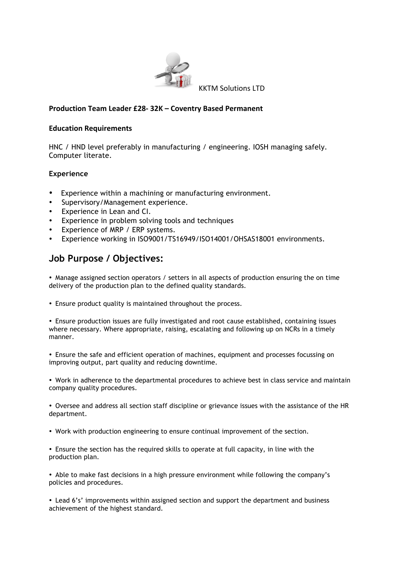

#### **Production Team Leader £28- 32K – Coventry Based Permanent**

#### **Education Requirements**

HNC / HND level preferably in manufacturing / engineering. IOSH managing safely. Computer literate.

### **Experience**

- Experience within a machining or manufacturing environment.
- Supervisory/Management experience.
- Experience in Lean and CI.
- Experience in problem solving tools and techniques
- Experience of MRP / ERP systems.
- Experience working in ISO9001/TS16949/ISO14001/OHSAS18001 environments.

# **Job Purpose / Objectives:**

• Manage assigned section operators / setters in all aspects of production ensuring the on time delivery of the production plan to the defined quality standards.

• Ensure product quality is maintained throughout the process.

• Ensure production issues are fully investigated and root cause established, containing issues where necessary. Where appropriate, raising, escalating and following up on NCRs in a timely manner.

• Ensure the safe and efficient operation of machines, equipment and processes focussing on improving output, part quality and reducing downtime.

• Work in adherence to the departmental procedures to achieve best in class service and maintain company quality procedures.

• Oversee and address all section staff discipline or grievance issues with the assistance of the HR department.

- Work with production engineering to ensure continual improvement of the section.
- Ensure the section has the required skills to operate at full capacity, in line with the production plan.

• Able to make fast decisions in a high pressure environment while following the company's policies and procedures.

• Lead 6's' improvements within assigned section and support the department and business achievement of the highest standard.